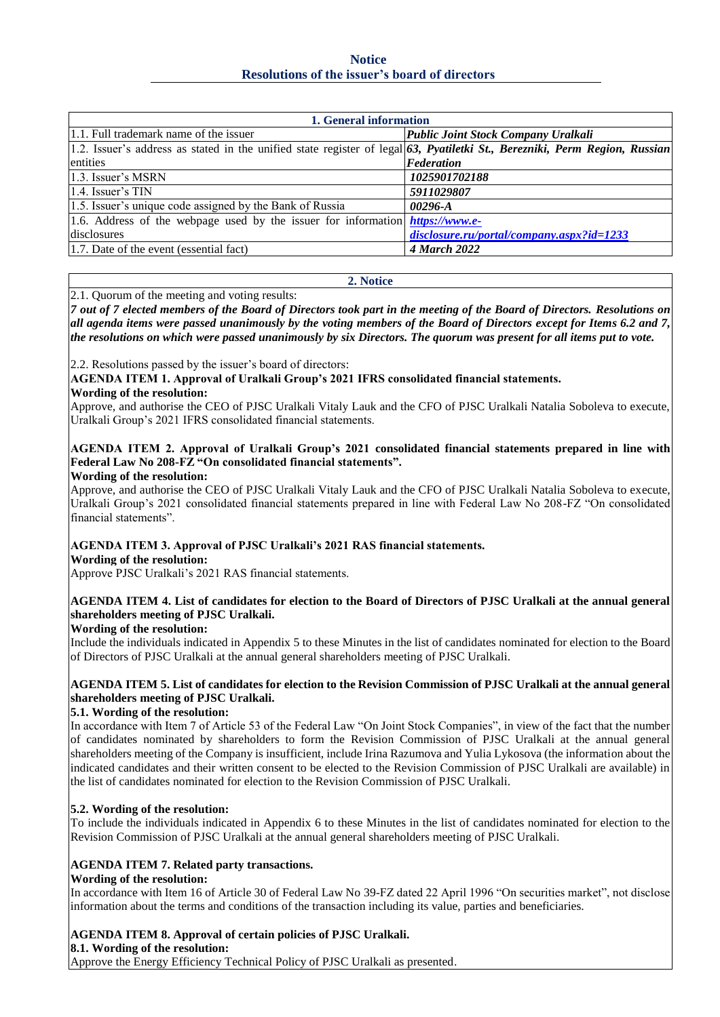**Notice Resolutions of the issuer's board of directors**

| 1. General information                                                                                                        |                                           |  |  |
|-------------------------------------------------------------------------------------------------------------------------------|-------------------------------------------|--|--|
| 1.1. Full trademark name of the issuer                                                                                        | Public Joint Stock Company Uralkali       |  |  |
| 1.2. Issuer's address as stated in the unified state register of legal $63$ , Pyatiletki St., Berezniki, Perm Region, Russian |                                           |  |  |
| entities                                                                                                                      | <b>Federation</b>                         |  |  |
| 1.3. Issuer's MSRN                                                                                                            | 1025901702188                             |  |  |
| $1.4$ . Issuer's TIN                                                                                                          | 5911029807                                |  |  |
| 1.5. Issuer's unique code assigned by the Bank of Russia                                                                      | $00296 - A$                               |  |  |
| 1.6. Address of the webpage used by the issuer for information $https://www.e-$                                               |                                           |  |  |
| disclosures                                                                                                                   | disclosure.ru/portal/company.aspx?id=1233 |  |  |
| 1.7. Date of the event (essential fact)                                                                                       | <b>4 March 2022</b>                       |  |  |

#### **2. Notice**

2.1. Quorum of the meeting and voting results:

*7 out of 7 elected members of the Board of Directors took part in the meeting of the Board of Directors. Resolutions on all agenda items were passed unanimously by the voting members of the Board of Directors except for Items 6.2 and 7, the resolutions on which were passed unanimously by six Directors. The quorum was present for all items put to vote.*

2.2. Resolutions passed by the issuer's board of directors:

**AGENDA ITEM 1. Approval of Uralkali Group's 2021 IFRS consolidated financial statements. Wording of the resolution:**

Approve, and authorise the CEO of PJSC Uralkali Vitaly Lauk and the CFO of PJSC Uralkali Natalia Soboleva to execute, Uralkali Group's 2021 IFRS consolidated financial statements.

# **AGENDA ITEM 2. Approval of Uralkali Group's 2021 consolidated financial statements prepared in line with Federal Law No 208-FZ "On consolidated financial statements".**

#### **Wording of the resolution:**

Approve, and authorise the CEO of PJSC Uralkali Vitaly Lauk and the CFO of PJSC Uralkali Natalia Soboleva to execute, Uralkali Group's 2021 consolidated financial statements prepared in line with Federal Law No 208-FZ "On consolidated financial statements".

# **AGENDA ITEM 3. Approval of PJSC Uralkali's 2021 RAS financial statements.**

## **Wording of the resolution:**

Approve PJSC Uralkali's 2021 RAS financial statements.

## **AGENDA ITEM 4. List of candidates for election to the Board of Directors of PJSC Uralkali at the annual general shareholders meeting of PJSC Uralkali.**

## **Wording of the resolution:**

Include the individuals indicated in Appendix 5 to these Minutes in the list of candidates nominated for election to the Board of Directors of PJSC Uralkali at the annual general shareholders meeting of PJSC Uralkali.

## **AGENDA ITEM 5. List of candidates for election to the Revision Commission of PJSC Uralkali at the annual general shareholders meeting of PJSC Uralkali.**

## **5.1. Wording of the resolution:**

In accordance with Item 7 of Article 53 of the Federal Law "On Joint Stock Companies", in view of the fact that the number of candidates nominated by shareholders to form the Revision Commission of PJSC Uralkali at the annual general shareholders meeting of the Company is insufficient, include Irina Razumova and Yulia Lykosova (the information about the indicated candidates and their written consent to be elected to the Revision Commission of PJSC Uralkali are available) in the list of candidates nominated for election to the Revision Commission of PJSC Uralkali.

## **5.2. Wording of the resolution:**

To include the individuals indicated in Appendix 6 to these Minutes in the list of candidates nominated for election to the Revision Commission of PJSC Uralkali at the annual general shareholders meeting of PJSC Uralkali.

# **AGENDA ITEM 7. Related party transactions.**

## **Wording of the resolution:**

In accordance with Item 16 of Article 30 of Federal Law No 39-FZ dated 22 April 1996 "On securities market", not disclose information about the terms and conditions of the transaction including its value, parties and beneficiaries.

# **AGENDA ITEM 8. Approval of certain policies of PJSC Uralkali.**

**8.1. Wording of the resolution:** 

Approve the Energy Efficiency Technical Policy of PJSC Uralkali as presented.